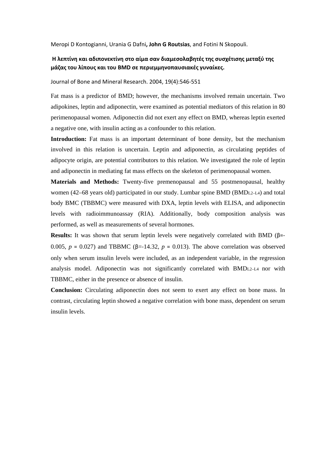Meropi D Kontogianni, Urania G Dafni**, John G Routsias**, and Fotini N Skopouli.

# **Η λεπτίνη και αδιπονεκτίνη στο αίμα σαν διαμεσολαβητές της συσχέτισης μεταξύ της μάζας του λίπους και του BMD σε περιεμμηνοπαυσιακές γυναίκες.**

Journal of Bone and Mineral Research. 2004, 19(4):546‐551

Fat mass is a predictor of BMD; however, the mechanisms involved remain uncertain. Two adipokines, leptin and adiponectin, were examined as potential mediators of this relation in 80 perimenopausal women. Adiponectin did not exert any effect on BMD, whereas leptin exerted a negative one, with insulin acting as a confounder to this relation.

Introduction: Fat mass is an important determinant of bone density, but the mechanism involved in this relation is uncertain. Leptin and adiponectin, as circulating peptides of adipocyte origin, are potential contributors to this relation. We investigated the role of leptin and adiponectin in mediating fat mass effects on the skeleton of perimenopausal women.

**Materials and Methods:** Twenty-five premenopausal and 55 postmenopausal, healthy women (42–68 years old) participated in our study. Lumbar spine BMD (BMDL2–L4) and total body BMC (TBBMC) were measured with DXA, leptin levels with ELISA, and adiponectin levels with radioimmunoassay (RIA). Additionally, body composition analysis was performed, as well as measurements of several hormones.

**Results:** It was shown that serum leptin levels were negatively correlated with BMD (β=‐ 0.005,  $p = 0.027$ ) and TBBMC ( $\beta = -14.32$ ,  $p = 0.013$ ). The above correlation was observed only when serum insulin levels were included, as an independent variable, in the regression analysis model. Adiponectin was not significantly correlated with BMDL2–L4 nor with TBBMC, either in the presence or absence of insulin.

**Conclusion:** Circulating adiponectin does not seem to exert any effect on bone mass. In contrast, circulating leptin showed a negative correlation with bone mass, dependent on serum insulin levels.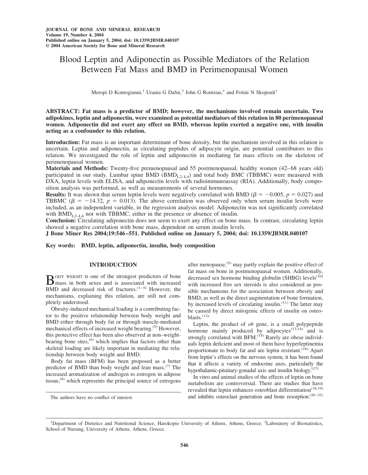# Blood Leptin and Adiponectin as Possible Mediators of the Relation Between Fat Mass and BMD in Perimenopausal Women

Meropi D Kontogianni,<sup>1</sup> Urania G Dafni,<sup>2</sup> John G Routsias,<sup>1</sup> and Fotini N Skopouli<sup>1</sup>

**ABSTRACT: Fat mass is a predictor of BMD; however, the mechanisms involved remain uncertain. Two adipokines, leptin and adiponectin, were examined as potential mediators of this relation in 80 perimenopausal women. Adiponectin did not exert any effect on BMD, whereas leptin exerted a negative one, with insulin acting as a confounder to this relation.**

**Introduction:** Fat mass is an important determinant of bone density, but the mechanism involved in this relation is uncertain. Leptin and adiponectin, as circulating peptides of adipocyte origin, are potential contributors to this relation. We investigated the role of leptin and adiponectin in mediating fat mass effects on the skeleton of perimenopausal women.

**Materials and Methods:** Twenty-five premenopausal and 55 postmenopausal, healthy women (42–68 years old) participated in our study. Lumbar spine BMD (BMD<sub>L2–L4</sub>) and total body BMC (TBBMC) were measured with DXA, leptin levels with ELISA, and adiponectin levels with radioimmunoassay (RIA). Additionally, body composition analysis was performed, as well as measurements of several hormones.

**Results:** It was shown that serum leptin levels were negatively correlated with BMD ( $\beta = -0.005$ ,  $p = 0.027$ ) and TBBMC ( $\beta$  = -14.32,  $p$  = 0.013). The above correlation was observed only when serum insulin levels were included, as an independent variable, in the regression analysis model. Adiponectin was not significantly correlated with  $BMD_{L2-IA}$  nor with TBBMC, either in the presence or absence of insulin.

**Conclusion:** Circulating adiponectin does not seem to exert any effect on bone mass. In contrast, circulating leptin showed a negative correlation with bone mass, dependent on serum insulin levels.

**J Bone Miner Res 2004;19:546–551. Published online on January 5, 2004; doi: 10.1359/JBMR.040107**

**Key words: BMD, leptin, adiponectin, insulin, body composition**

# **INTRODUCTION**

 $B$ <sup>ODY</sup> WEIGHT IS one of the strongest predictors of bone<br>mass in both sexes and is associated with increased BMD and decreased risk of fractures.<sup>(1-4)</sup> However, the mechanisms, explaining this relation, are still not completely understood.

Obesity-induced mechanical loading is a contributing factor to the positive relationship between body weight and BMD either through body fat or through muscle-mediated mechanical effects of increased weight bearing.(5) However, this protective effect has been also observed at non–weightbearing bone sites,<sup>(6)</sup> which implies that factors other than skeletal loading are likely important in mediating the relationship between body weight and BMD.

Body fat mass (BFM) has been proposed as a better predictor of BMD than body weight and lean mass.(7) The increased aromatization of androgen to estrogen in adipose tissue,  $^{(8)}$  which represents the principal source of estrogens after menopause, $^{(9)}$  may partly explain the positive effect of fat mass on bone in postmenopausal women. Additionally, decreased sex hormone binding globulin (SHBG) levels $(10)$ with increased free sex steroids is also considered as possible mechanisms for the association between obesity and BMD, as well as the direct augmentation of bone formation, by increased levels of circulating insulin. $(11)$  The latter may be caused by direct mitogenic effects of insulin on osteoblasts. $(12)$ 

Leptin, the product of *ob* gene, is a small polypeptide hormone mainly produced by adipocytes $(13,14)$  and is strongly correlated with BFM. $^{(15)}$  Rarely are obese individuals leptin deficient and most of them have hyperleptinemia proportionate to body fat and are leptin resistant.<sup>(16)</sup> Apart from leptin's effects on the nervous system, it has been found that it affects a variety of endocrine axes, particularly the hypothalamic-pituitary-gonadal axis and insulin biology.<sup>(17)</sup>

In vitro and animal studies of the effects of leptin on bone metabolism are controversial. There are studies that have revealed that leptin enhances osteoblast differentiation<sup> $(18,19)$ </sup> The authors have no conflict of interest.  $\qquad \qquad \text{and inhibits osteoclast generation and bone resorption}$ .  $(20-22)$ 

<sup>&</sup>lt;sup>1</sup>Department of Dietetics and Nutritional Science, Harokopio University of Athens, Athens, Greece; <sup>2</sup>Laboratory of Biostatistics, School of Nursing, University of Athens, Athens, Greece.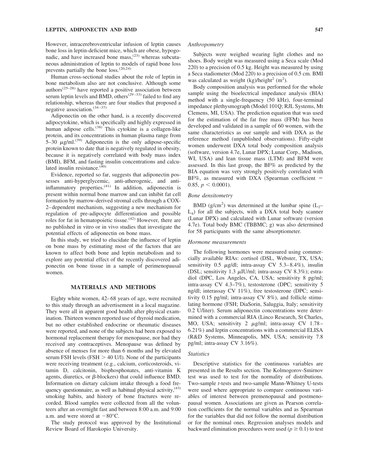#### **LEPTIN, ADIPONECTIN AND BMD 547**

However, intracerebroventricular infusion of leptin causes bone loss in leptin-deficient mice, which are obese, hypogonadic, and have increased bone mass, $^{(23)}$  whereas subcutaneous administration of leptin to models of rapid bone loss prevents partially the bone loss.(20,24)

Human cross-sectional studies about the role of leptin in bone metabolism also are not conclusive. Although some authors(25–28) have reported a positive association between serum leptin levels and BMD, others<sup> $(29-33)$ </sup> failed to find any relationship, whereas there are four studies that proposed a negative association.(34–37)

Adiponectin on the other hand, is a recently discovered adipocytokine, which is specifically and highly expressed in human adipose cells.<sup>(38)</sup> This cytokine is a collagen-like protein, and its concentrations in human plasma range from 5–30  $\mu$ g/ml.<sup>(39)</sup> Adiponectin is the only adipose-specific protein known to date that is negatively regulated in obesity, because it is negatively correlated with body mass index (BMI), BFM, and fasting insulin concentrations and calculated insulin resistance. $(40)$ 

Evidence, reported so far, suggests that adiponectin possesses anti-hyperglycemic, anti-atherogenic, and antiinflammatory properties.(41) In addition, adiponectin is present within normal bone marrow and can inhibit fat cell formation by marrow-derived stromal cells through a COX-2–dependent mechanism, suggesting a new mechanism for regulation of pre-adipocyte differentiation and possible roles for fat in hematopoietic tissue.<sup>(42)</sup> However, there are no published in vitro or in vivo studies that investigate the potential effects of adiponectin on bone mass.

In this study, we tried to elucidate the influence of leptin on bone mass by estimating most of the factors that are known to affect both bone and leptin metabolism and to explore any potential effect of the recently discovered adiponectin on bone tissue in a sample of perimenopausal women.

# **MATERIALS AND METHODS**

Eighty white women, 42–68 years of age, were recruited to this study through an advertisement in a local magazine. They were all in apparent good health after physical examination. Thirteen women reported use of thyroid medication, but no other established endocrine or rheumatic diseases were reported, and none of the subjects had been exposed to hormonal replacement therapy for menopause, nor had they received any contraceptives. Menopause was defined by absence of menses for more than 6 months and by elevated serum FSH levels (FSH  $>$  40 U/l). None of the participants were receiving treatment (e.g., calcium, corticosteroids, vitamin D, calcitonin, bisphosphonates, anti-vitamin K agents, diuretics, or  $\beta$ -blockers) that could influence BMD. Information on dietary calcium intake through a food frequency questionnaire, as well as habitual physical activity,  $(43)$ smoking habits, and history of bone fractures were recorded. Blood samples were collected from all the volunteers after an overnight fast and between 8:00 a.m. and 9:00 a.m. and were stored at  $-80^{\circ}$ C.

The study protocol was approved by the Institutional Review Board of Harokopio University.

### *Anthropometry*

Subjects were weighed wearing light clothes and no shoes. Body weight was measured using a Seca scale (Mod 220) to a precision of 0.5 kg. Height was measured by using a Seca stadiometer (Mod 220) to a precision of 0.5 cm. BMI was calculated as weight (kg)/height<sup>2</sup> (m<sup>2</sup>).

Body composition analysis was performed for the whole sample using the bioelectrical impedance analysis (BIA) method with a single-frequency (50 kHz), four-terminal impedance plethysmograph (Model 101Q; RJL Systems, Mt Clemens, MI, USA). The prediction equation that was used for the estimation of the fat free mass (FFM) has been developed and validated in a sample of 60 women, with the same characteristics as our sample and with DXA as the reference method (unpublished observations). Fifty-eight women underwent DXA total body composition analysis (software, version 4.7e, Lunar DPX; Lunar Corp., Madison, WI, USA) and lean tissue mass (LTM) and BFM were assessed. In this last group, the BF% as predicted by the BIA equation was very strongly positively correlated with  $BF\%$ , as measured with DXA (Spearman coefficient = 0.85,  $p < 0.0001$ ).

## *Bone densitometry*

BMD (g/cm<sup>2</sup>) was determined at the lumbar spine ( $L_2$ –  $L_4$ ) for all the subjects, with a DXA total body scanner (Lunar DPX) and calculated with Lunar software (version 4.7e). Total body BMC (TBBMC; g) was also determined for 58 participants with the same absorptiometer.

# *Hormone measurements*

The following hormones were measured using commercially available RIAs: cortisol (DSL, Webster, TX, USA; sensitivity 0.5  $\mu$ g/dl; intra-assay CV 5.3–8.4%), insulin (DSL; sensitivity 1.3  $\mu$ IU/ml; intra-assay CV 8.3%); estradiol (DPC, Los Angeles, CA, USA; sensitivity 8 pg/ml; intra-assay CV 4.3–7%), testosterone (DPC; sensitivity 5 ng/dl; interassay CV 11%), free testosterone (DPC; sensitivity 0.15 pg/ml; intra-assay CV 8%), and follicle stimulating hormone (FSH; DiaSorin, Saluggia, Italy; sensitivity 0.2 U/liter). Serum adiponectin concentrations were determined with a commercial RIA (Linco Research, St Charles, MO, USA; sensitivity 2  $\mu$ g/ml; intra-assay CV 1.78– 6.21%) and leptin concentrations with a commercial ELISA (R&D Systems, Minneapolis, MN, USA; sensitivity 7.8 pg/ml; intra-assay CV 3.16%).

#### *Statistics*

Descriptive statistics for the continuous variables are presented in the Results section. The Kolmogorov-Smirnov test was used to test for the normality of distributions. Two-sample *t*-tests and two-sample Mann-Whitney U-tests were used where appropriate to compare continuous variables of interest between premenopausal and postmenopausal women. Associations are given as Pearson correlation coefficients for the normal variables and as Spearman for the variables that did not follow the normal distribution or for the nominal ones. Regression analyses models and backward elimination procedures were used ( $p \ge 0.1$ ) to test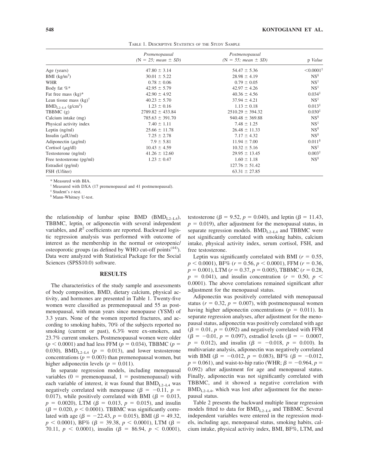|                                      | Premenopausal<br>$(N = 25; \text{mean} \pm SD)$ | Postmenopausal<br>$(N = 55; \text{mean} \pm SD)$ | p Value                  |
|--------------------------------------|-------------------------------------------------|--------------------------------------------------|--------------------------|
|                                      |                                                 |                                                  |                          |
| Age (years)                          | $47.80 \pm 3.14$                                | $54.47 \pm 5.36$                                 | $\leq 0.0001^{\ddagger}$ |
| BMI $(kg/m2)$                        | $30.01 \pm 5.22$                                | $28.98 \pm 4.19$                                 | $NS^{\$}$                |
| <b>WHR</b>                           | $0.78 \pm 0.06$                                 | $0.79 \pm 0.05$                                  | $NS^{\ddagger}$          |
| Body fat %*                          | $42.95 \pm 5.79$                                | $42.97 \pm 4.26$                                 | $NS^{\ddagger}$          |
| Fat free mass $(kg)^*$               | $42.90 \pm 4.92$                                | $40.36 \pm 4.56$                                 | $0.034^{\ddagger}$       |
| Lean tissue mass $(kg)^{\dagger}$    | $40.23 \pm 5.70$                                | $37.94 \pm 4.21$                                 | $NS^{\ddagger}$          |
| $BMD_{1,2-1,4}$ (g/cm <sup>2</sup> ) | $1.23 \pm 0.16$                                 | $1.13 \pm 0.18$                                  | $0.013*$                 |
| TBBMC $(g)$                          | $2789.82 \pm 433.84$                            | $2510.29 \pm 394.32$                             | $0.030^{\ddagger}$       |
| Calcium intake (mg)                  | $785.63 \pm 391.70$                             | $940.48 \pm 369.88$                              | $NS^{\$}$                |
| Physical activity index              | $7.40 \pm 1.11$                                 | $7.48 \pm 1.25$                                  | $NS^{\ddagger}$          |
| Leptin $(ng/ml)$                     | $25.66 \pm 11.78$                               | $26.48 \pm 11.33$                                | $NS^{\$}$                |
| Insulin $(\mu I U/ml)$               | $7.25 \pm 2.78$                                 | $7.17 \pm 4.32$                                  | $NS^{\$}$                |
| Adiponectin $(\mu g/ml)$             | $7.9 \pm 5.81$                                  | $11.94 \pm 7.00$                                 | 0.011 <sup>§</sup>       |
| Cortisol $(\mu$ g/dl)                | $10.43 \pm 4.59$                                | $10.32 \pm 5.16$                                 | $NS^{\ddagger}$          |
| Testosterone (ng/ml)                 | $41.26 \pm 12.60$                               | $29.95 \pm 13.45$                                | $0.003^{\ddagger}$       |
| Free testosterone (pg/ml)            | $1.23 \pm 0.47$                                 | $1.60 \pm 1.18$                                  | $NS^s$                   |
| Estradiol (pg/ml)                    |                                                 | $127.76 \pm 51.42$                               |                          |
| FSH (U/liter)                        |                                                 | $63.31 \pm 27.85$                                |                          |

TABLE 1. DESCRIPTIVE STATISTICS OF THE STUDY SAMPLE

\* Measured with BIA.

† Measured with DXA (17 premenopausal and 41 postmenopausal).

‡ Student's *t*-test.

§ Mann-Whitney U-test.

the relationship of lumbar spine BMD (BMD<sub>L2–L4</sub>), TBBMC, leptin, or adiponectin with several independent variables, and  $R^2$  coefficients are reported. Backward logistic regression analysis was performed with outcome of interest as the membership in the normal or osteopenic/ osteoporotic groups (as defined by WHO cut-off points<sup> $(44)$ </sup>). Data were analyzed with Statistical Package for the Social Sciences (SPSS10.0) software.

## **RESULTS**

The characteristics of the study sample and assessments of body composition, BMD, dietary calcium, physical activity, and hormones are presented in Table 1. Twenty-five women were classified as premenopausal and 55 as postmenopausal, with mean years since menopause (YSM) of 3.3 years. None of the women reported fractures, and according to smoking habits, 70% of the subjects reported no smoking (current or past), 6.3% were ex-smokers, and 23.7% current smokers. Postmenopausal women were older  $(p < 0.0001)$  and had less FFM ( $p = 0.034$ ), TBBMC ( $p = 0.034$ ) 0.030), BMD<sub>L2–L4</sub> ( $p = 0.013$ ), and lower testosterone concentrations ( $p = 0.003$ ) than premenopausal women, but higher adiponectin levels ( $p = 0.011$ ).

In separate regression models, including menopausal variables ( $0 =$  premenopausal,  $1 =$  postmenopausal) with each variable of interest, it was found that  $BMD_{L2-L4}$  was negatively correlated with menopause ( $\beta = -0.11$ ,  $p =$ 0.017), while positively correlated with BMI ( $\beta = 0.013$ ,  $p = 0.0020$ , LTM ( $\beta = 0.013$ ,  $p = 0.015$ ), and insulin  $(\beta = 0.020, p < 0.0001)$ . TBBMC was significantly correlated with age ( $\beta = -22.43$ ,  $p = 0.015$ ), BMI ( $\beta = 49.32$ ,  $p < 0.0001$ ), BF% ( $\beta = 39.38$ ,  $p < 0.0001$ ), LTM ( $\beta =$ 70.11,  $p \le 0.0001$ ), insulin ( $\beta = 86.94$ ,  $p \le 0.0001$ ),

testosterone ( $\beta = 9.52$ ,  $p = 0.040$ ), and leptin ( $\beta = 11.43$ ,  $p = 0.019$ , after adjustment for the menopausal status, in separate regression models.  $BMD_{L2-L4}$  and TBBMC were not significantly correlated with smoking habits, calcium intake, physical activity index, serum cortisol, FSH, and free testosterone.

Leptin was significantly correlated with BMI ( $r = 0.55$ ,  $p < 0.0001$ ), BF% ( $r = 0.56$ ,  $p < 0.0001$ ), FFM ( $r = 0.36$ ,  $p = 0.001$ ), LTM ( $r = 0.37$ ,  $p = 0.005$ ), TBBMC ( $r = 0.28$ ,  $p = 0.041$ , and insulin concentration ( $r = 0.50$ ,  $p <$ 0.0001). The above correlations remained significant after adjustment for the menopausal status.

Adiponectin was positively correlated with menopausal status ( $r = 0.32$ ,  $p = 0.007$ ), with postmenopausal women having higher adiponectin concentrations ( $p = 0.011$ ). In separate regression analyses, after adjustment for the menopausal status, adiponectin was positively correlated with age  $(\beta = 0.01, p = 0.092)$  and negatively correlated with FFM  $(\beta = -0.01, p = 0.097)$ , estradiol levels  $(\beta = -0.0007,$  $p = 0.012$ ), and insulin ( $\beta = -0.018$ ,  $p = 0.010$ ). In multivariate analysis, adiponectin was negatively correlated with BMI  $(\beta = -0.012, p = 0.083)$ , BF%  $(\beta = -0.012,$  $p = 0.061$ ), and waist-to-hip ratio (WHR;  $\beta = -0.964$ ,  $p =$ 0.092) after adjustment for age and menopausal status. Finally, adiponectin was not significantly correlated with TBBMC, and it showed a negative correlation with  $BMD_{L2-L4}$ , which was lost after adjustment for the menopausal status.

Table 2 presents the backward multiple linear regression models fitted to data for  $BMD_{L2-L4}$  and TBBMC. Several independent variables were entered in the regression models, including age, menopausal status, smoking habits, calcium intake, physical activity index, BMI, BF%, LTM, and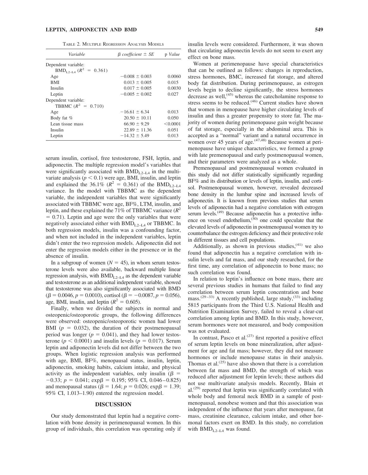#### **LEPTIN, ADIPONECTIN AND BMD 549**

TABLE 2. MULTIPLE REGRESSION ANALYSIS MODELS

| Variable                                     | $\beta$ coefficient $\pm$ SE | p Value  |
|----------------------------------------------|------------------------------|----------|
| Dependent variable:                          |                              |          |
| $BMD_{1,2,1,4} (R^2 = 0.361)$                |                              |          |
| Age                                          | $-0.008 \pm 0.003$           | 0.0060   |
| <b>BMI</b>                                   | $0.013 \pm 0.005$            | 0.015    |
| Insulin                                      | $0.017 \pm 0.005$            | 0.0030   |
| Leptin                                       | $-0.005 \pm 0.002$           | 0.027    |
| Dependent variable:<br>TBBMC $(R^2 = 0.710)$ |                              |          |
| Age                                          | $-16.61 \pm 6.34$            | 0.013    |
| Body fat %                                   | $20.50 \pm 10.11$            | 0.050    |
| Lean tissue mass                             | $66.90 \pm 9.29$             | < 0.0001 |
| Insulin                                      | $22.89 \pm 11.36$            | 0.051    |
| Leptin                                       | $-14.32 \pm 5.49$            | 0.013    |

serum insulin, cortisol, free testosterone, FSH, leptin, and adiponectin. The multiple regression model's variables that were significantly associated with  $BMD_{L2-L4}$  in the multivariate analysis  $(p < 0.1)$  were age, BMI, insulin, and leptin and explained the 36.1% ( $R^2 = 0.361$ ) of the BMD<sub>L2–L4</sub> variance. In the model with TBBMC as the dependent variable, the independent variables that were significantly associated with TBBMC were age, BF%, LTM, insulin, and leptin, and these explained the 71% of TBBMC variance  $(R^2)$  $= 0.71$ ). Leptin and age were the only variables that were negatively associated either with  $BMD_{L2-I,4}$  or TBBMC. In both regression models, insulin was a confounding factor, and when not included in the independent variables, leptin didn't enter the two regression models. Adiponectin did not enter the regression models either in the presence or in the absence of insulin.

In a subgroup of women  $(N = 45)$ , in whom serum testosterone levels were also available, backward multiple linear regression analysis, with  $BMD_{L2-L4}$  as the dependent variable and testosterone as an additional independent variable, showed that testosterone was also significantly associated with BMD  $(\beta = 0.0046, p = 0.0010)$ , cortisol ( $\beta = -0.0087, p = 0.056$ ), age, BMI, insulin, and leptin  $(R^2 = 0.605)$ .

Finally, when we divided the subjects in normal and osteopenic/osteoporotic groups, the following differences were observed: osteopenic/osteoporotic women had lower BMI  $(p = 0.032)$ , the duration of their postmenopausal period was longer ( $p = 0.041$ ), and they had lower testosterone ( $p < 0.0001$ ) and insulin levels ( $p = 0.017$ ). Serum leptin and adiponectin levels did not differ between the two groups. When logistic regression analysis was performed with age, BMI, BF%, menopausal status, insulin, leptin, adiponectin, smoking habits, calcium intake, and physical activity as the independent variables, only insulin ( $\beta$  =  $-0.33; p = 0.041; \exp\beta = 0.195; 95\% \text{ CI}, 0.046 - 0.825)$ and menopausal status ( $\beta = 1.64$ ;  $p = 0.026$ ; exp $\beta = 1.39$ ; 95% CI, 1.013–1.90) entered the regression model.

#### **DISCUSSION**

Our study demonstrated that leptin had a negative correlation with bone density in perimenopausal women. In this group of individuals, this correlation was operating only if insulin levels were considered. Furthermore, it was shown that circulating adiponectin levels do not seem to exert any effect on bone mass.

Women at perimenopause have special characteristics that can be outlined as follows: changes in reproduction, stress hormones, BMC, increased fat storage, and altered body fat distribution. During perimenopause, as estrogen levels begin to decline significantly, the stress hormones decrease as well, $(45)$  whereas the catecholamine response to stress seems to be reduced.<sup> $(46)$ </sup> Current studies have shown that women in menopause have higher circulating levels of insulin and thus a greater propensity to store fat. The majority of women during perimenopause gain weight because of fat storage, especially in the abdominal area. This is accepted as a "normal" variant and a natural occurrence in women over 45 years of age. $(47,48)$  Because women at perimenopause have unique characteristics, we formed a group with late premenopausal and early postmenopausal women, and their parameters were analyzed as a whole.

Premenopausal and postmenopausal women evaluated in this study did not differ statistically significantly regarding BF% and its distribution or levels of leptin, insulin, and cortisol. Postmenopausal women, however, revealed decreased bone density in the lumbar spine and increased levels of adiponectin. It is known from previous studies that serum levels of adiponectin had a negative correlation with estrogen serum levels.<sup>(49)</sup> Because adiponectin has a protective influence on vessel endothelium,<sup>(50)</sup> one could speculate that the elevated levels of adiponectin in postmenopausal women try to counterbalance the estrogen deficiency and their protective role in different tissues and cell populations.

Additionally, as shown in previous studies,<sup>(41)</sup> we also found that adiponectin has a negative correlation with insulin levels and fat mass, and our study researched, for the first time, any correlation of adiponectin to bone mass; no such correlation was found.

In relation to leptin's influence on bone mass, there are several previous studies in humans that failed to find any correlation between serum leptin concentration and bone mass.<sup>(29–33)</sup> A recently published, large study,<sup>(33)</sup> including 5815 participants from the Third U.S. National Health and Nutrition Examination Survey, failed to reveal a clear-cut correlation among leptin and BMD. In this study, however, serum hormones were not measured, and body composition was not evaluated.

In contrast, Pasco et al. $(27)$  first reported a positive effect of serum leptin levels on bone mineralization, after adjustment for age and fat mass; however, they did not measure hormones or include menopause status in their analysis. Thomas et al. $(25)$  have also shown that there is a correlation between fat mass and BMD, the strength of which was reduced after adjustment for leptin levels; these authors did not use multivariate analysis models. Recently, Blain et  $al.<sup>(29)</sup>$  reported that leptin was significantly correlated with whole body and femoral neck BMD in a sample of postmenopausal, nonobese women and that this association was independent of the influence that years after menopause, fat mass, creatinine clearance, calcium intake, and other hormonal factors exert on BMD. In this study, no correlation with  $BMD_{L_2-L_4}$  was found.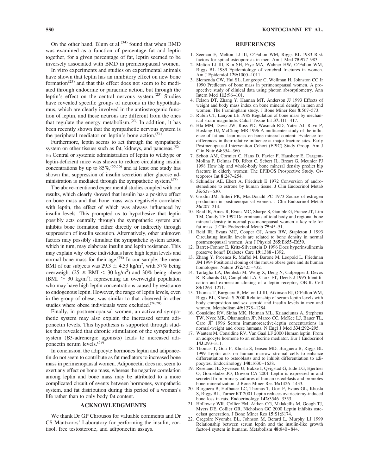On the other hand, Blum et al. $(34)$  found that when BMD was examined as a function of percentage fat and leptin together, for a given percentage of fat, leptin seemed to be inversely associated with BMD in premenopausal women.

In vitro experiments and studies on experimental animals have shown that leptin has an inhibitory effect on new bone formation<sup> $(23)$ </sup> and that this effect does not seem to be mediated through endocrine or paracrine action, but through the leptin's effect on the central nervous system. $(23)$  Studies have revealed specific groups of neurons in the hypothalamus, which are clearly involved in the antiosteogenic function of leptin, and these neurons are different from the ones that regulate the energy metabolism. $(23)$  In addition, it has been recently shown that the sympathetic nervous system is the peripheral mediator on leptin's bone action.<sup>(51)</sup>

Furthermore, leptin seems to act through the sympathetic system on other tissues such as fat, kidneys, and pancreas.<sup>(52–</sup> 54) Central or systemic administration of leptin to wildtype or leptin-deficient mice was shown to reduce circulating insulin concentrations by up to  $85\%/^{(55,56)}$  and at least one study has shown that suppression of insulin secretion after glucose administration is mediated through the sympathetic system.<sup> $(57)$ </sup>

The above-mentioned experimental studies coupled with our results, which clearly showed that insulin has a positive effect on bone mass and that bone mass was negatively correlated with leptin, the effect of which was always influenced by insulin levels. This prompted us to hypothesize that leptin possibly acts centrally through the sympathetic system and inhibits bone formation either directly or indirectly through suppression of insulin secretion. Alternatively, other unknown factors may possibly stimulate the sympathetic system action, which in turn, may elaborate insulin and leptin resistance. This may explain why obese individuals have high leptin levels and normal bone mass for their age.<sup>(58)</sup> In our sample, the mean BMI of our subjects was  $29.3 \pm 4.53$  kg/m<sup>2</sup>, with 37% being overweight ( $25 \leq BMI < 30$  kg/m<sup>2</sup>) and 30% being obese (BMI  $\geq$  30 kg/m<sup>2</sup>), representing an overweight population who may have high leptin concentrations caused by resistance to endogenous leptin. However, the range of leptin levels, even in the group of obese, was similar to that observed in other studies where obese individuals were excluded.(26,28)

Finally, in postmenopausal women, an activated sympathetic system may also explain the increased serum adiponectin levels. This hypothesis is supported through studies that revealed that chronic stimulation of the sympathetic system  $(\beta$ 3-adrenergic agonists) leads to increased adiponectin serum levels.<sup>(59)</sup>

In conclusion, the adipocyte hormones leptin and adiponectin do not seem to contribute as fat mediators to increased bone mass in perimenopausal women. Adiponectin does not seem to exert any effect on bone mass, whereas the negative correlation among leptin and bone mass may be attributed to a more complicated circuit of events between hormones, sympathetic system, and fat distribution during this period of a woman's life rather than to only body fat content.

# **ACKNOWLEDGMENTS**

We thank Dr GP Chrousos for valuable comments and Dr CS Mantzoros' Laboratory for performing the insulin, cortisol, free testosterone, and adiponectin assays.

# **REFERENCES**

- 1. Seeman E, Melton LJ III, O'Fallon WM, Riggs BL 1983 Risk factors for spinal osteoporosis in men. Am J Med **75:**977–983.
- 2. Melton LJ III, Kan SH, Frye MA, Wahner HW, O'Fallon WM, Riggs BL 1989 Epidemiology of vertebral fractures in women. Am J Epidemiol **129:**1000–1011.
- 3. Slemenda CW, Hui SL, Longcope C, Wellman H, Johnston CC Jr 1990 Predictors of bone mass in perimenopausal women. A prospective study of clinical data using photon absorptiometry. Ann Intern Med **112:**96–101.
- 4. Felson DT, Zhang Y, Hannan MT, Anderson JJ 1993 Effects of weight and body mass index on bone mineral density in men and women: The Framingham study. J Bone Miner Res **8:**567–573.
- 5. Rubin CT, Lanyon LE 1985 Regulation of bone mass by mechanical strain magnitude. Calcif Tissue Int **37:**411–417.
- 6. Hla MM, Davis JW, Ross PD, Wasnich RD, Yates AJ, Ravn P, Hosking DJ, McClung MR 1996 A multicenter study of the influence of fat and lean mass on bone mineral content: Evidence for differences in their relative influence at major fracture sites. Early Postmenopausal Intervention Cohort (EPIC) Study Group. Am J Clin Nutr **64:**354–360.
- 7. Schott AM, Cormier C, Hans D, Favier F, Hausherr E, Dargent-Molina P, Delmas PD, Ribot C, Sebert JL, Breart G, Meunier PJ 1998 How hip and whole-body bone mineral density predict hip fracture in elderly women: The EPIDOS Prospective Study. Osteoporos Int **8:**247–254.
- 8. Schindler AE, Ebert A, Friedrich E 1972 Conversion of androstenedione to estrone by human tissue. J Clin Endocrinol Metab **35:**627–630.
- 9. Grodin JM, Siiteri PK, MacDonald PC 1973 Source of estrogen production in postmenopausal women. J Clin Endocrinol Metab **36:**207–214.
- 10. Reid IR, Ames R, Evans MC, Sharpe S, Gamble G, France JT, Lim TM, Cundy TF 1992 Determinants of total body and regional bone mineral density in normal postmenopausal women–a key role for fat mass. J Clin Endocrinol Metab **75:**45–51.
- 11. Reid IR, Evans MC, Cooper GJ, Ames RW, Stapleton J 1993 Circulating insulin levels are related to bone density in normal postmenopausal women. Am J Physiol **265:**E655–E659.
- 12. Barret-Connor E, Kritz-Silverstein D 1996 Does hyperinsulinemia preserve bone? Diabetes Care **19:**1388–1392.
- 13. Zhang Y, Proenca R, Maffei M, Barone M, Leopold L, Friedman JM 1994 Positional cloning of the mouse obese gene and its human homologue. Nature **372:**425–432.
- 14. Tartaglia LA, Dembski M, Weng X, Deng N, Culpepper J, Devos R, Richards GJ, Campfield LA, Clark FT, Deeds J 1995 Identification and expression cloning of a leptin receptor, OB-R. Cell **83:**1263–1271.
- 15. Thomas T, Burguera B, Melton LJ III, Atkinson EJ, O'Fallon WM, Riggs BL, Khosla S 2000 Relationship of serum leptin levels with body composition and sex steroid and insulin levels in men and women. Metabolism **49:**1278–1284.
- 16. Considine RV, Sinha MK, Heiman ML, Kriauciunas A, Stephens TW, Nyce MR, Ohannesian JP, Marco CC, McKee LJ, Bauer TL, Caro JF 1996 Serum immunoreactive-leptin concentrations in normal-weight and obese humans. N Engl J Med **334:**292–295.
- 17. Wauters M, Considine RV, Van Gaal LF 2000 Human leptin: From an adipocyte hormone to an endocrine mediator. Eur J Endocrinol **143:**293–311.
- 18. Thomas T, Gori F, Khosla S, Jensen MD, Burguera B, Riggs BL 1999 Leptin acts on human marrow stromal cells to enhance differentiation to osteoblasts and to inhibit differentiation to adipocytes. Endocrinology **140:**1630–1638.
- 19. Reseland JE, Syversen U, Bakke I, Qvigstad G, Eide LG, Hjertner O, Gordeladze JO, Drevon CA 2001 Leptin is expressed in and secreted from primary cultures of human osteoblasts and promotes bone mineralization. J Bone Miner Res **16:**1426–1433.
- 20. Burguera B, Hofbauer LC, Thomas T, Gori F, Evans GL, Khosla S, Riggs BL, Turner RT 2001 Leptin reduces ovariectomy-induced bone loss in rats. Endocrinology **142:**3546–3553.
- 21. Holloway WR, Collier FM, Aitken CG, Malakellis M, Gough TJ, Myers DE, Collier GR, Nicholson GC 2000 Leptin inhibits osteoclast generation. J Bone Miner Res **15:**S1;S174.
- 22. Gregoire Nyomba BL, Johnson M, Berard L, Murphy LJ 1999 Relationship between serum leptin and the insulin-like growth factor-I system in humans. Metabolism **48:**840–844.